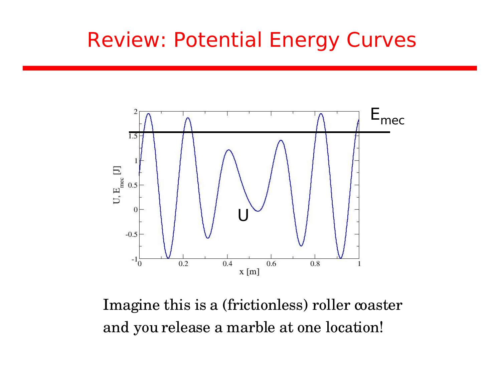### Review: Potential Energy Curves



Imagine this is a (frictionless) roller coaster and you release a marble at one location!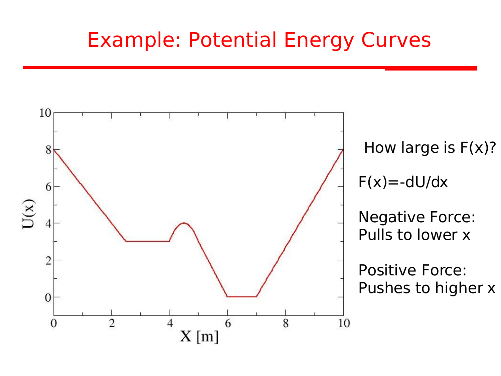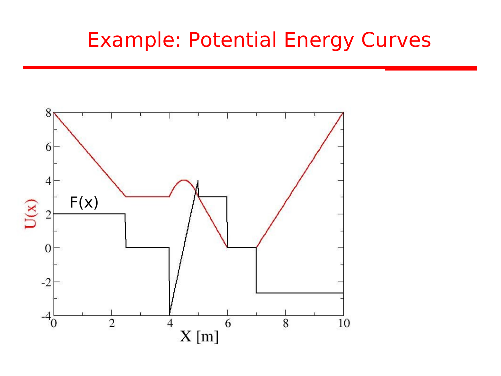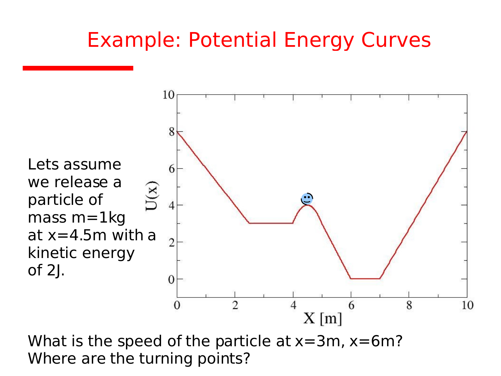

What is the speed of the particle at  $x=3m$ ,  $x=6m$ ? Where are the turning points?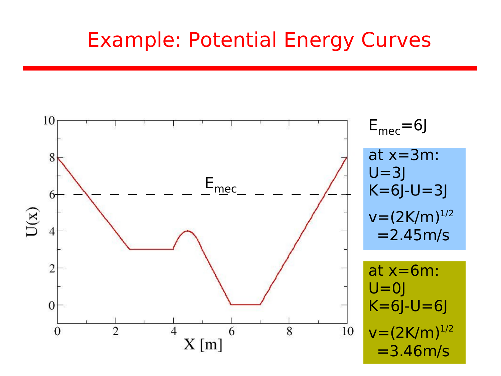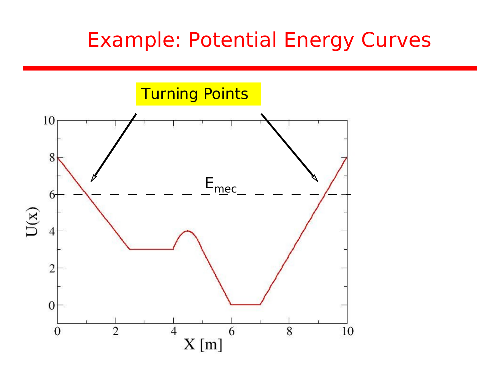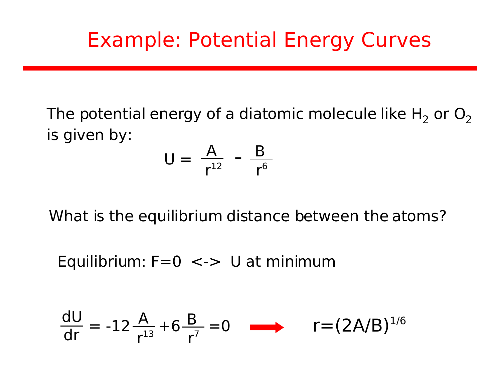The potential energy of a diatomic molecule like  $H_2$  or  $O_2$ is given by:

$$
U = \frac{A}{r^{12}} - \frac{B}{r^6}
$$

What is the equilibrium distance between the atoms?

Equilibrium:  $F=0 \leq S$  U at minimum

$$
\frac{dU}{dr} = -12 \frac{A}{r^{13}} + 6 \frac{B}{r^7} = 0 \qquad r = (2A/B)^{1/6}
$$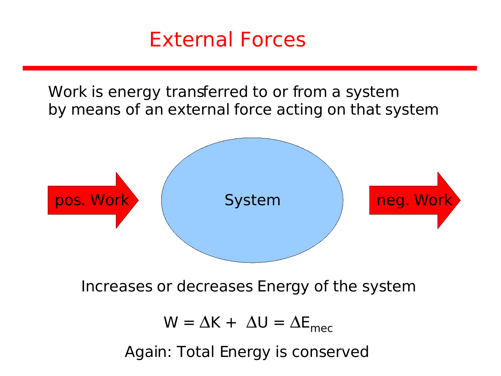

Work is energy transferred to or from a system by means of an external force acting on that system



Increases or decreases Energy of the system

 $W = \Delta K + \Delta U = \Delta E_{\text{mec}}$ Again: Total Energy is conserved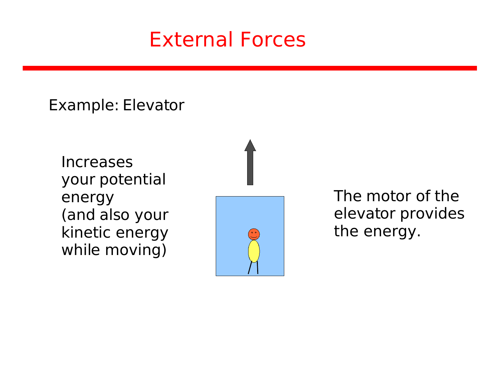#### External Forces

Example: Elevator

Increases your potential energy (and also your kinetic energy while moving)



The motor of the elevator provides the energy.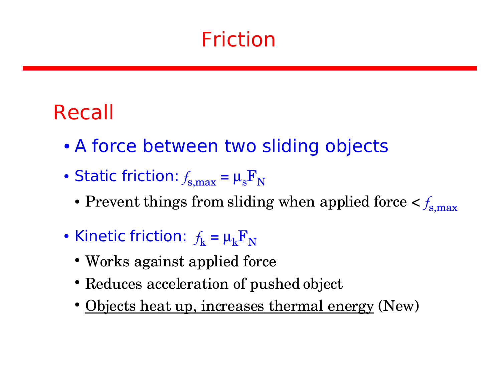### Recall

- A force between two sliding objects
- Static friction:  $f_{\rm s,max}^{}=\mu_{\rm s}^{} \rm F_N$ 
	- Prevent things from sliding when applied force  $<$   $f_{\rm s,max}$
- Kinetic friction:  $f_{\rm k}$  =  $\mu_{\rm k} {\rm F}_{\rm N}$ 
	- Works against applied force
	- Reduces acceleration of pushed object
	- Objects heat up, increases thermal energy (New)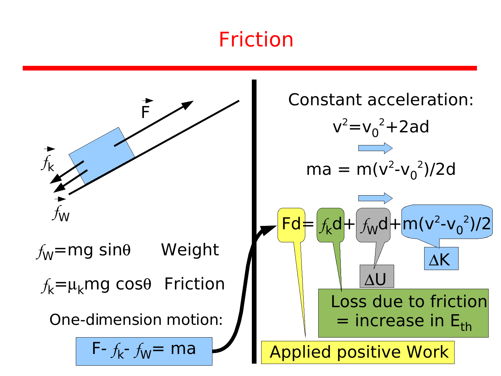

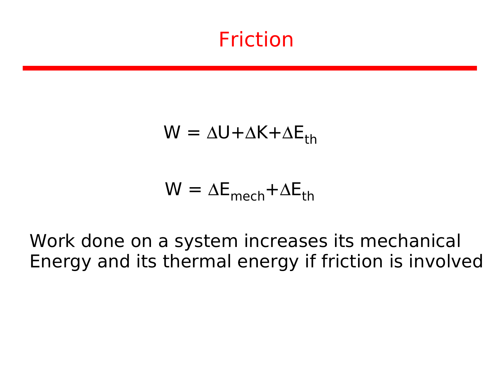$$
W = \Delta U + \Delta K + \Delta E_{th}
$$

$$
W = \Delta E_{mech} + \Delta E_{th}
$$

Work done on a system increases its mechanical Energy and its thermal energy if friction is involved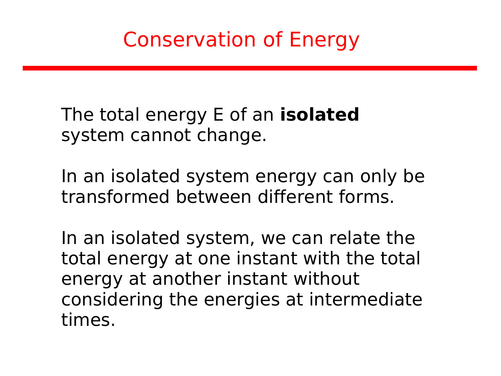Conservation of Energy

The total energy E of an **isolated** system cannot change.

In an isolated system energy can only be transformed between different forms.

In an isolated system, we can relate the total energy at one instant with the total energy at another instant without considering the energies at intermediate times.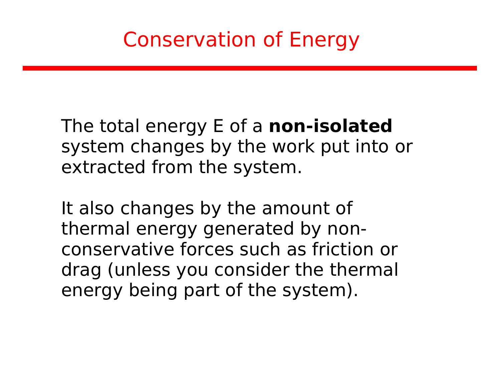## Conservation of Energy

The total energy E of a **non-isolated** system changes by the work put into or extracted from the system.

It also changes by the amount of thermal energy generated by nonconservative forces such as friction or drag (unless you consider the thermal energy being part of the system).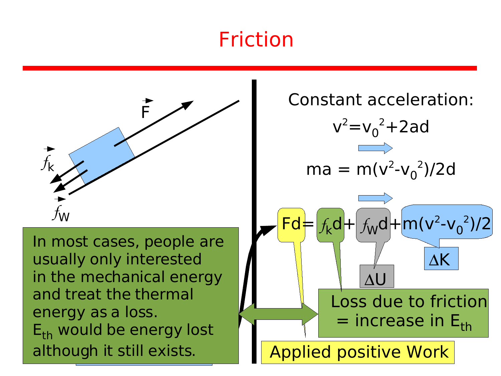

although it still exists. r the inecrianical energy<br>nd treat the thermal *f* in most cases, people are<br>usually only interested Ory as a 1055. In most cases, people are in the mechanical energy and treat the thermal energy as a loss.  $E_{\text{th}}$  would be energy lost

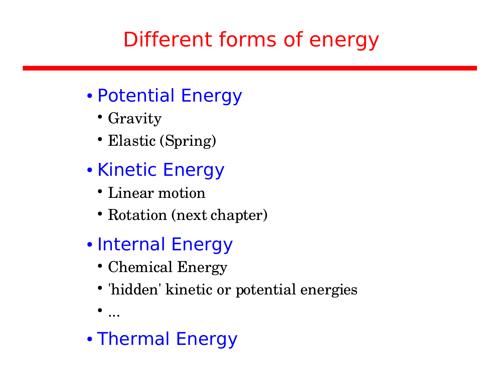# Different forms of energy

- Potential Energy
	- Gravity
	- Elastic (Spring)
- Kinetic Energy
	- Linear motion
	- Rotation (next chapter)
- Internal Energy
	- Chemical Energy
	- 'hidden' kinetic or potential energies
	- ...
- Thermal Energy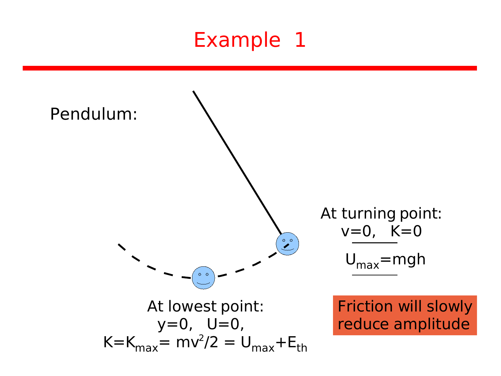## Example 1

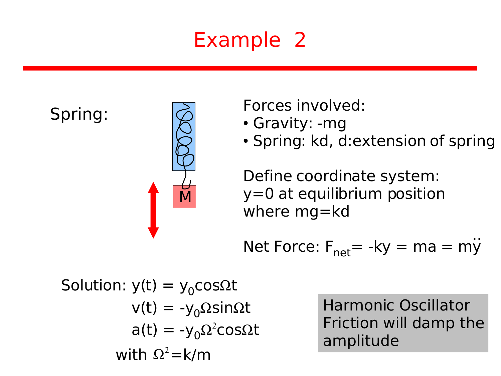# Example 2

Spring:



Forces involved:

- Gravity: -mg
- Spring: kd, d:extension of spring

Define coordinate system: y=0 at equilibrium position where mg=kd

Net Force:  $F_{\text{net}}$ = -ky = ma = my ..

Solution: 
$$
y(t) = y_0 \cos\Omega t
$$
  
\n $v(t) = -y_0 \Omega \sin\Omega t$   
\n $a(t) = -y_0 \Omega^2 \cos\Omega t$   
\nwith  $\Omega^2 = k/m$ 

Harmonic Oscillator Friction will damp the amplitude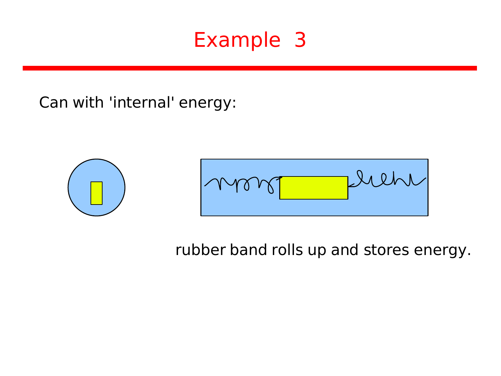### Example 3

Can with 'internal' energy:



rubber band rolls up and stores energy.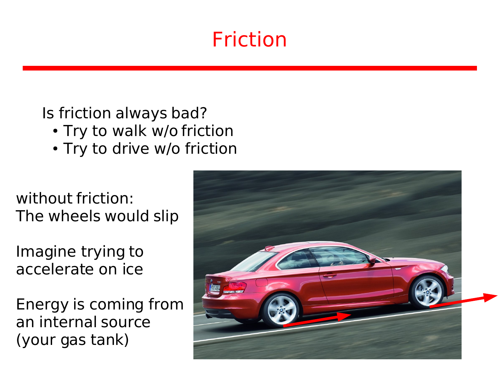Is friction always bad?

- Try to walk w/o friction
- Try to drive w/o friction

without friction: The wheels would slip

Imagine trying to accelerate on ice

Energy is coming from an internal source (your gas tank)